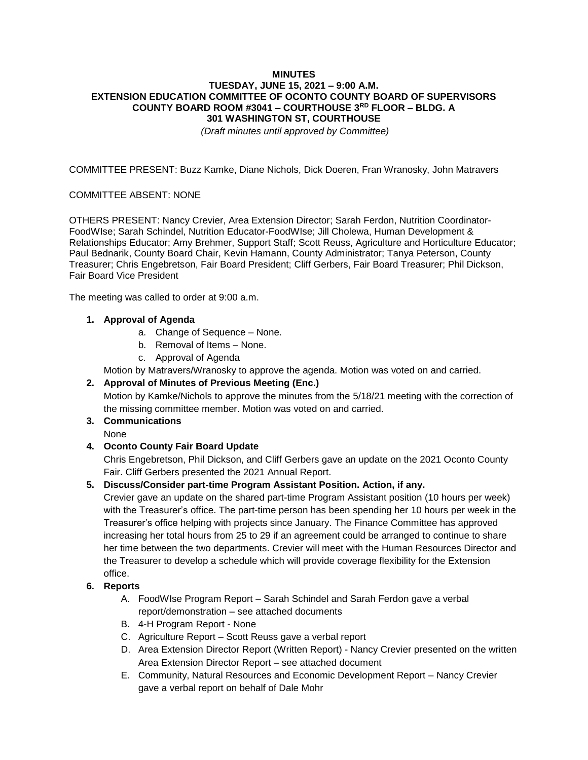# **MINUTES TUESDAY, JUNE 15, 2021 – 9:00 A.M. EXTENSION EDUCATION COMMITTEE OF OCONTO COUNTY BOARD OF SUPERVISORS COUNTY BOARD ROOM #3041 – COURTHOUSE 3RD FLOOR – BLDG. A 301 WASHINGTON ST, COURTHOUSE**

*(Draft minutes until approved by Committee)*

COMMITTEE PRESENT: Buzz Kamke, Diane Nichols, Dick Doeren, Fran Wranosky, John Matravers

### COMMITTEE ABSENT: NONE

OTHERS PRESENT: Nancy Crevier, Area Extension Director; Sarah Ferdon, Nutrition Coordinator-FoodWIse; Sarah Schindel, Nutrition Educator-FoodWIse; Jill Cholewa, Human Development & Relationships Educator; Amy Brehmer, Support Staff; Scott Reuss, Agriculture and Horticulture Educator; Paul Bednarik, County Board Chair, Kevin Hamann, County Administrator; Tanya Peterson, County Treasurer; Chris Engebretson, Fair Board President; Cliff Gerbers, Fair Board Treasurer; Phil Dickson, Fair Board Vice President

The meeting was called to order at 9:00 a.m.

# **1. Approval of Agenda**

- a. Change of Sequence None.
- b. Removal of Items None.
- c. Approval of Agenda

Motion by Matravers/Wranosky to approve the agenda. Motion was voted on and carried.

### **2. Approval of Minutes of Previous Meeting (Enc.)**

Motion by Kamke/Nichols to approve the minutes from the 5/18/21 meeting with the correction of the missing committee member. Motion was voted on and carried.

# **3. Communications**

None

# **4. Oconto County Fair Board Update**

Chris Engebretson, Phil Dickson, and Cliff Gerbers gave an update on the 2021 Oconto County Fair. Cliff Gerbers presented the 2021 Annual Report.

### **5. Discuss/Consider part-time Program Assistant Position. Action, if any.**

Crevier gave an update on the shared part-time Program Assistant position (10 hours per week) with the Treasurer's office. The part-time person has been spending her 10 hours per week in the Treasurer's office helping with projects since January. The Finance Committee has approved increasing her total hours from 25 to 29 if an agreement could be arranged to continue to share her time between the two departments. Crevier will meet with the Human Resources Director and the Treasurer to develop a schedule which will provide coverage flexibility for the Extension office.

#### **6. Reports**

- A. FoodWIse Program Report Sarah Schindel and Sarah Ferdon gave a verbal report/demonstration – see attached documents
- B. 4-H Program Report None
- C. Agriculture Report Scott Reuss gave a verbal report
- D. Area Extension Director Report (Written Report) Nancy Crevier presented on the written Area Extension Director Report – see attached document
- E. Community, Natural Resources and Economic Development Report Nancy Crevier gave a verbal report on behalf of Dale Mohr